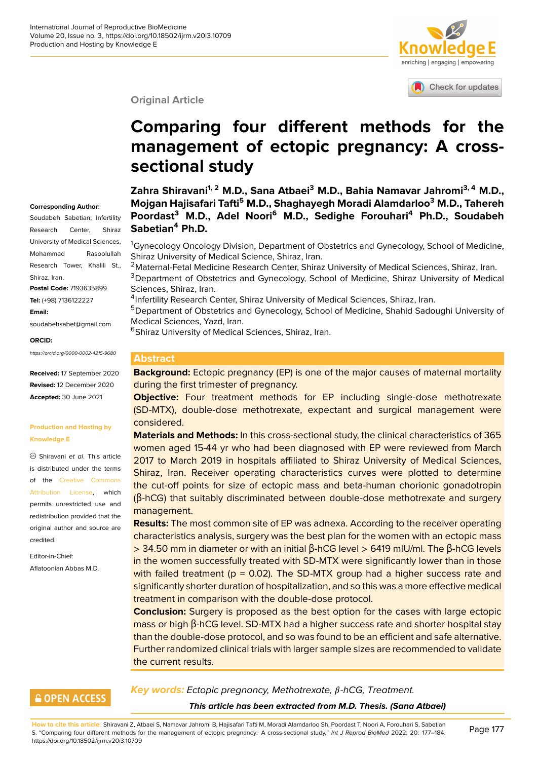

Check for updates

#### **Original Article**

# **Comparing four different meth[ods for the](http://crossmark.crossref.org/dialog/?doi=10.18502/ijrm.v20i3.10709&domain=pdf&date_stamp=2018-01-27) management of ectopic pregnancy: A crosssectional study**

**Corresponding Author:**

Soudabeh Sabetian; Infertility Research Center, Shiraz University of Medical Sciences, Mohammad Rasoolullah Research Tower, Khalili St., Shiraz, Iran. **Postal Code:** 7193635899 **Tel:** (+98) 7136122227 **Email:** soudabehsabet@gmail.com

#### **ORCID:**

*https://orcid.org/0000-0002-4215-9680*

**Received:** 17 September 2020 **Revised:** 12 December 2020 **Accepted:** 30 June 2021

#### **Production and Hosting by Knowledge E**

Shiravani *et al*. This article is distributed under the terms of the Creative Commons Attribution License, which permits unrestricted use and redistribution provided that the original a[uthor and source are](https://creativecommons.org/licenses/by/4.0/) [credited.](https://creativecommons.org/licenses/by/4.0/)

Editor-in-Chief: Aflatoonian Abbas M.D. **Zahra Shiravani1, 2 M.D., Sana Atbaei<sup>3</sup> M.D., Bahia Namavar Jahromi3, 4 M.D., Mojgan Hajisafari Tafti<sup>5</sup> M.D., Shaghayegh Moradi Alamdarloo<sup>3</sup> M.D., Tahereh Poordast<sup>3</sup> M.D., Adel Noori<sup>6</sup> M.D., Sedighe Forouhari<sup>4</sup> Ph.D., Soudabeh Sabetian<sup>4</sup> Ph.D.**

<sup>1</sup>Gynecology Oncology Division, Department of Obstetrics and Gynecology, School of Medicine, Shiraz University of Medical Science, Shiraz, Iran.

<sup>2</sup>Maternal-Fetal Medicine Research Center, Shiraz University of Medical Sciences, Shiraz, Iran. <sup>3</sup>Department of Obstetrics and Gynecology, School of Medicine, Shiraz University of Medical Sciences, Shiraz, Iran.

<sup>4</sup>Infertility Research Center, Shiraz University of Medical Sciences, Shiraz, Iran.

<sup>5</sup>Department of Obstetrics and Gynecology, School of Medicine, Shahid Sadoughi University of Medical Sciences, Yazd, Iran.

<sup>6</sup>Shiraz University of Medical Sciences, Shiraz, Iran.

#### **Abstract**

**Background:** Ectopic pregnancy (EP) is one of the major causes of maternal mortality during the first trimester of pregnancy.

**Objective:** Four treatment methods for EP including single-dose methotrexate (SD-MTX), double-dose methotrexate, expectant and surgical management were considered.

**Materials and Methods:** In this cross-sectional study, the clinical characteristics of 365 women aged 15-44 yr who had been diagnosed with EP were reviewed from March 2017 to March 2019 in hospitals affiliated to Shiraz University of Medical Sciences, Shiraz, Iran. Receiver operating characteristics curves were plotted to determine the cut-off points for size of ectopic mass and beta-human chorionic gonadotropin (β-hCG) that suitably discriminated between double-dose methotrexate and surgery management.

**Results:** The most common site of EP was adnexa. According to the receiver operating characteristics analysis, surgery was the best plan for the women with an ectopic mass > 34.50 mm in diameter or with an initial β-hCG level > 6419 mIU/ml. The β-hCG levels in the women successfully treated with SD-MTX were significantly lower than in those with failed treatment ( $p = 0.02$ ). The SD-MTX group had a higher success rate and significantly shorter duration of hospitalization, and so this was a more effective medical treatment in comparison with the double-dose protocol.

**Conclusion:** Surgery is proposed as the best option for the cases with large ectopic mass or high β-hCG level. SD-MTX had a higher success rate and shorter hospital stay than the double-dose protocol, and so was found to be an efficient and safe alternative. Further randomized clinical trials with larger sample sizes are recommended to validate the current results.

## **GOPEN ACCESS**

**Key words:** Ectopic pregnancy, Methotrexate, β-hCG, Treatment.

*This article has been extracted from M.D. Thesis. (Sana Atbaei)*

**How to cite this article**: Shiravani Z, Atbaei S, Namavar Jahromi B, Hajisafari Tafti M, Moradi Alamdarloo Sh, Poordast T, Noori A, Forouhari S, Sabetian S. "Comparing four different methods for the management of ectopic pregnancy: A cross-sectional study," *Int J Reprod BioMed* 2022; 20: 177–184. https://doi.org/10.18502/ijrm.v20i3.10709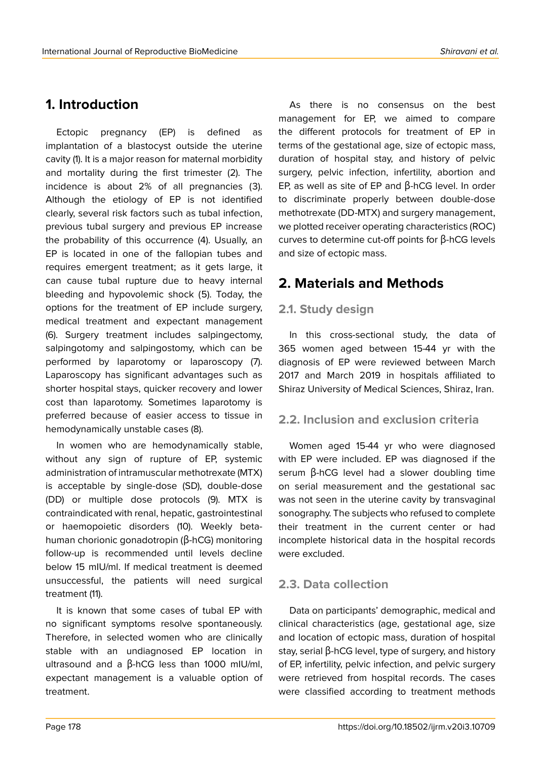# **1. Introduction**

Ectopic pregnancy (EP) is defined as implantation of a blastocyst outside the uterine cavity (1). It is a major reason for maternal morbidity and mortality during the first trimester (2). The incidence is about 2% of all pregnancies (3). Although the etiology of EP is not identified clearly, several risk factors such as tubal infection, previous tubal surgery and previous EP increase the probability of this occurrence (4). Usually, an EP is located in one of the fallopian tubes and requires emergent treatment; as it gets large, it can cause tubal rupture due to heavy internal bleeding and hypovolemic shock (5). Today, the options for the treatment of EP include surgery, medical treatment and expectant management (6). Surgery treatment includes salpingectomy, salpingotomy and salpingostomy, which can be performed by laparotomy or laparoscopy (7). Laparoscopy has significant advantages such as shorter hospital stays, quicker recovery and lower cost than laparotomy. Sometimes laparotomy is preferred because of easier access to tissue in hemodynamically unstable cases (8).

In women who are hemodynamically stable, without any sign of rupture of EP, systemic administration of intramuscular methotrexate (MTX) is acceptable by single-dose (SD), double-dose (DD) or multiple dose protocols (9). MTX is contraindicated with renal, hepatic, gastrointestinal or haemopoietic disorders (10). Weekly betahuman chorionic gonadotropin (β-hCG) monitoring follow-up is recommended until levels decline below 15 mIU/ml. If medical treatment is deemed unsuccessful, the patients will need surgical treatment (11).

It is known that some cases of tubal EP with no significant symptoms resolve spontaneously. Therefore, in selected women who are clinically stable with an undiagnosed EP location in ultrasound and a β-hCG less than 1000 mIU/ml, expectant management is a valuable option of treatment.

As there is no consensus on the best management for EP, we aimed to compare the different protocols for treatment of EP in terms of the gestational age, size of ectopic mass, duration of hospital stay, and history of pelvic surgery, pelvic infection, infertility, abortion and EP, as well as site of EP and β-hCG level. In order to discriminate properly between double-dose methotrexate (DD-MTX) and surgery management, we plotted receiver operating characteristics (ROC) curves to determine cut-off points for β-hCG levels and size of ectopic mass.

# **2. Materials and Methods**

### **2.1. Study design**

In this cross-sectional study, the data of 365 women aged between 15-44 yr with the diagnosis of EP were reviewed between March 2017 and March 2019 in hospitals affiliated to Shiraz University of Medical Sciences, Shiraz, Iran.

## **2.2. Inclusion and exclusion criteria**

Women aged 15-44 yr who were diagnosed with EP were included. EP was diagnosed if the serum β-hCG level had a slower doubling time on serial measurement and the gestational sac was not seen in the uterine cavity by transvaginal sonography. The subjects who refused to complete their treatment in the current center or had incomplete historical data in the hospital records were excluded.

## **2.3. Data collection**

Data on participants' demographic, medical and clinical characteristics (age, gestational age, size and location of ectopic mass, duration of hospital stay, serial β-hCG level, type of surgery, and history of EP, infertility, pelvic infection, and pelvic surgery were retrieved from hospital records. The cases were classified according to treatment methods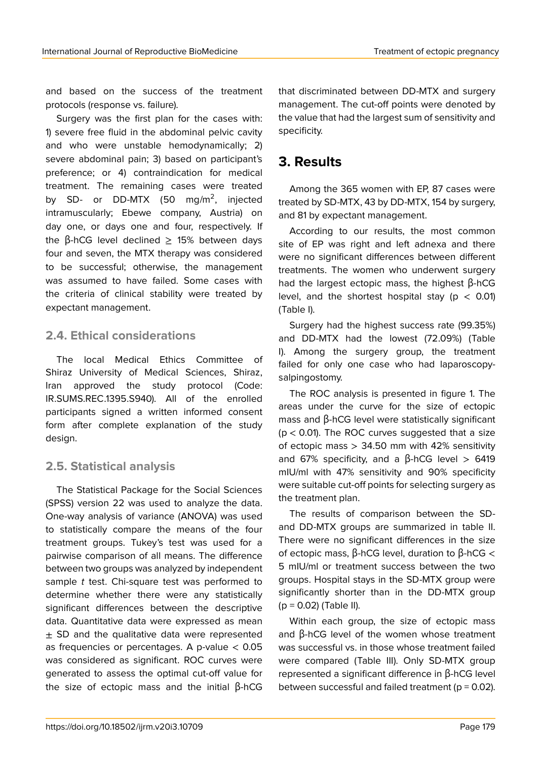and based on the success of the treatment protocols (response vs. failure).

Surgery was the first plan for the cases with: 1) severe free fluid in the abdominal pelvic cavity and who were unstable hemodynamically; 2) severe abdominal pain; 3) based on participant's preference; or 4) contraindication for medical treatment. The remaining cases were treated by SD- or DD-MTX (50 mg/m<sup>2</sup>, injected intramuscularly; Ebewe company, Austria) on day one, or days one and four, respectively. If the β-hCG level declined  $\geq$  15% between days four and seven, the MTX therapy was considered to be successful; otherwise, the management was assumed to have failed. Some cases with the criteria of clinical stability were treated by expectant management.

### **2.4. Ethical considerations**

The local Medical Ethics Committee of Shiraz University of Medical Sciences, Shiraz, Iran approved the study protocol (Code: IR.SUMS.REC.1395.S940). All of the enrolled participants signed a written informed consent form after complete explanation of the study design.

## **2.5. Statistical analysis**

The Statistical Package for the Social Sciences (SPSS) version 22 was used to analyze the data. One-way analysis of variance (ANOVA) was used to statistically compare the means of the four treatment groups. Tukey's test was used for a pairwise comparison of all means. The difference between two groups was analyzed by independent sample *t* test. Chi-square test was performed to determine whether there were any statistically significant differences between the descriptive data. Quantitative data were expressed as mean  $\pm$  SD and the qualitative data were represented as frequencies or percentages. A p-value  $< 0.05$ was considered as significant. ROC curves were generated to assess the optimal cut-off value for the size of ectopic mass and the initial β-hCG that discriminated between DD-MTX and surgery management. The cut-off points were denoted by the value that had the largest sum of sensitivity and specificity.

# **3. Results**

Among the 365 women with EP, 87 cases were treated by SD-MTX, 43 by DD-MTX, 154 by surgery, and 81 by expectant management.

According to our results, the most common site of EP was right and left adnexa and there were no significant differences between different treatments. The women who underwent surgery had the largest ectopic mass, the highest β-hCG level, and the shortest hospital stay ( $p < 0.01$ ) (Table I).

Surgery had the highest success rate (99.35%) and DD-MTX had the lowest (72.09%) (Table I). Among the surgery group, the treatment failed for only one case who had laparoscopysalpingostomy.

The ROC analysis is presented in figure 1. The areas under the curve for the size of ectopic mass and β-hCG level were statistically significant  $(p < 0.01)$ . The ROC curves suggested that a size of ectopic mass  $> 34.50$  mm with 42% sensitivity and 67% specificity, and a  $\beta$ -hCG level > 6419 mIU/ml with 47% sensitivity and 90% specificity were suitable cut-off points for selecting surgery as the treatment plan.

The results of comparison between the SDand DD-MTX groups are summarized in table II. There were no significant differences in the size of ectopic mass, β-hCG level, duration to β-hCG < 5 mIU/ml or treatment success between the two groups. Hospital stays in the SD-MTX group were significantly shorter than in the DD-MTX group  $(p = 0.02)$  (Table II).

Within each group, the size of ectopic mass and β-hCG level of the women whose treatment was successful vs. in those whose treatment failed were compared (Table III). Only SD-MTX group represented a significant difference in β-hCG level between successful and failed treatment ( $p = 0.02$ ).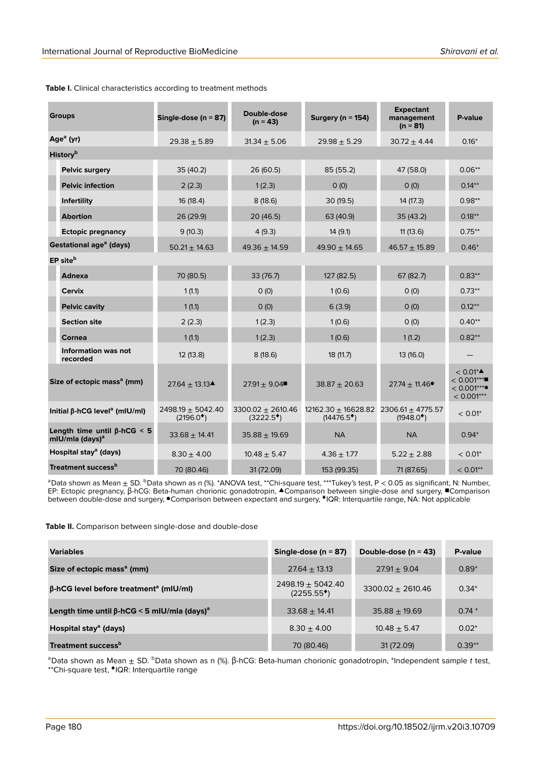| <b>Groups</b>                                                     |                                 | Single-dose ( $n = 87$ )                            | Double-dose<br>$(n = 43)$                   | Surgery ( $n = 154$ )                            | <b>Expectant</b><br>management<br>$(n = 81)$ | P-value                                                    |
|-------------------------------------------------------------------|---------------------------------|-----------------------------------------------------|---------------------------------------------|--------------------------------------------------|----------------------------------------------|------------------------------------------------------------|
| Age <sup>a</sup> (yr)                                             |                                 | $29.38 + 5.89$                                      | $31.34 \pm 5.06$                            | $29.98 \pm 5.29$                                 | $30.72 + 4.44$                               | $0.16*$                                                    |
| History <sup>b</sup>                                              |                                 |                                                     |                                             |                                                  |                                              |                                                            |
|                                                                   | <b>Pelvic surgery</b>           | 35 (40.2)                                           | 26 (60.5)                                   | 85 (55.2)                                        | 47 (58.0)                                    | $0.06**$                                                   |
|                                                                   | <b>Pelvic infection</b>         | 2(2.3)                                              | 1(2.3)                                      | O(0)                                             | O(0)                                         | $0.14***$                                                  |
|                                                                   | Infertility                     | 16 (18.4)                                           | 8(18.6)                                     | 30(19.5)                                         | 14 (17.3)                                    | $0.98**$                                                   |
|                                                                   | <b>Abortion</b>                 | 26 (29.9)                                           | 20 (46.5)                                   | 63 (40.9)                                        | 35(43.2)                                     | $0.18***$                                                  |
|                                                                   | <b>Ectopic pregnancy</b>        | 9(10.3)                                             | 4(9.3)                                      | 14(9.1)                                          | 11(13.6)                                     | $0.75***$                                                  |
| Gestational age <sup>a</sup> (days)                               |                                 | $50.21 \pm 14.63$                                   | $49.36 \pm 14.59$                           | $49.90 + 14.65$                                  | $46.57 \pm 15.89$                            | $0.46*$                                                    |
| EP site <sup>b</sup>                                              |                                 |                                                     |                                             |                                                  |                                              |                                                            |
|                                                                   | <b>Adnexa</b>                   | 70 (80.5)                                           | 33 (76.7)                                   | 127(82.5)                                        | 67 (82.7)                                    | $0.83***$                                                  |
|                                                                   | <b>Cervix</b>                   | 1(1.1)                                              | 0(0)                                        | 1(0.6)                                           | O(0)                                         | $0.73**$                                                   |
|                                                                   | <b>Pelvic cavity</b>            | 1(1.1)                                              | 0(0)                                        | 6(3.9)                                           | O(0)                                         | $0.12***$                                                  |
|                                                                   | <b>Section site</b>             | 2(2.3)                                              | 1(2.3)                                      | 1(0.6)                                           | O(0)                                         | $0.40**$                                                   |
|                                                                   | Cornea                          | 1(1.1)                                              | 1(2.3)                                      | 1(0.6)                                           | 1(1.2)                                       | $0.82**$                                                   |
|                                                                   | Information was not<br>recorded | 12 (13.8)                                           | 8(18.6)                                     | 18 (11.7)                                        | 13 (16.0)                                    |                                                            |
| Size of ectopic mass <sup>a</sup> (mm)                            |                                 | $27.64 \pm 13.13$ <sup><math>\triangle</math></sup> | $27.91 + 9.04$                              | $38.87 \pm 20.63$                                | $27.74 \pm 11.46$                            | $< 0.01^*$<br>$< 0.001***$<br>$< 0.001***$<br>$< 0.001***$ |
| Initial $\beta$ -hCG level <sup>a</sup> (mIU/mI)                  |                                 | 2498.19 $\pm$ 5042.40<br>$(2196.0^{\bullet})$       | $3300.02 + 2610.46$<br>$(3222.5^{\bullet})$ | $12162.30 \pm 16628.82$<br>$(14476.5^{\bullet})$ | 2306.61 $\pm$ 4775.57<br>$(1948.0^*)$        | $< 0.01$ *                                                 |
| Length time until $\beta$ -hCG < 5<br>mlU/mla (days) <sup>a</sup> |                                 | $33.68 \pm 14.41$                                   | $35.88 \pm 19.69$                           | <b>NA</b>                                        | <b>NA</b>                                    | $0.94*$                                                    |
| Hospital stay <sup>a</sup> (days)                                 |                                 | $8.30 \pm 4.00$                                     | $10.48 \pm 5.47$                            | $4.36 \pm 1.77$                                  | $5.22 \pm 2.88$                              | $< 0.01$ *                                                 |
| Treatment success <sup>b</sup>                                    |                                 | 70 (80.46)                                          | 31 (72.09)                                  | 153 (99.35)                                      | 71 (87.65)                                   | $< 0.01***$                                                |

#### **Table I.** Clinical characteristics according to treatment methods

<sup>a</sup>Data shown as Mean  $\pm$  SD. <sup>b</sup>Data shown as n (%). \*ANOVA test, \*\*Chi-square test, \*\*\*Tukey's test, P < 0.05 as significant, N: Number, EP: Ectopic pregnancy, β-hCG: Beta-human chorionic gonadotropin, ▲Comparison between single-dose and surgery, ■Comparison<br>between double-dose and surgery, ●Comparison between expectant and surgery, ◆IQR: Interquartile ra

**Table II.** Comparison between single-dose and double-dose

| <b>Variables</b>                                               | Single-dose ( $n = 87$ )           | Double-dose ( $n = 43$ ) | P-value  |
|----------------------------------------------------------------|------------------------------------|--------------------------|----------|
| Size of ectopic mass <sup>a</sup> (mm)                         | $27.64 \pm 13.13$                  | $27.91 + 9.04$           | $0.89*$  |
| $\beta$ -hCG level before treatment <sup>a</sup> (mIU/mI)      | $2498.19 \pm 5042.40$<br>(2255.55) | $3300.02 \pm 2610.46$    | $0.34*$  |
| Length time until $\beta$ -hCG < 5 mIU/mla (days) <sup>a</sup> | $33.68 + 14.41$                    | $35.88 + 19.69$          | $0.74*$  |
| Hospital stay <sup>a</sup> (days)                              | $8.30 \pm 4.00$                    | $10.48 \pm 5.47$         | $0.02*$  |
| Treatment success <sup>b</sup>                                 | 70 (80.46)                         | 31 (72.09)               | $0.39**$ |

aData shown as Mean ± SD. bData shown as n (%). β-hCG: Beta-human chorionic gonadotropin, \*Independent sample t test, \*\*Chi-square test, ♦ IQR: Interquartile range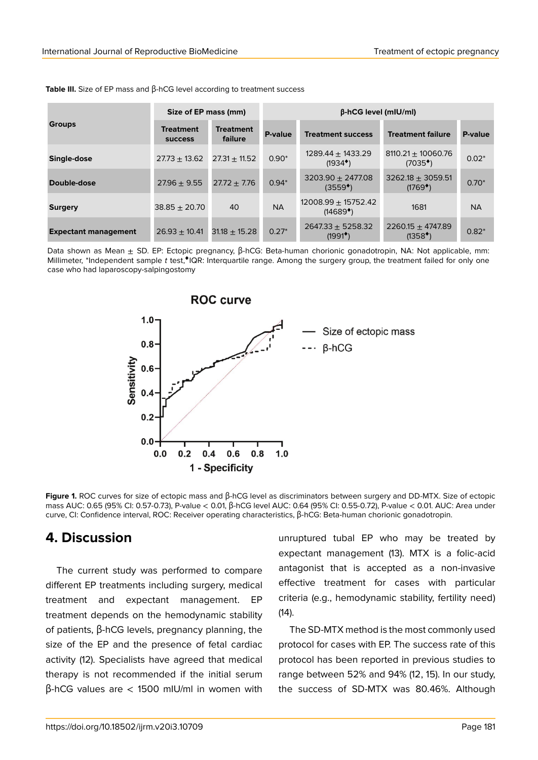|                             | Size of EP mass (mm)               |                             | $\beta$ -hCG level (mIU/ml) |                                             |                                             |           |
|-----------------------------|------------------------------------|-----------------------------|-----------------------------|---------------------------------------------|---------------------------------------------|-----------|
| <b>Groups</b>               | <b>Treatment</b><br><b>SUCCESS</b> | <b>Treatment</b><br>failure | P-value                     | <b>Treatment success</b>                    | <b>Treatment failure</b>                    | P-value   |
| Single-dose                 | $27.73 + 13.62$                    | $27.31 + 11.52$             | $0.90*$                     | $1289.44 + 1433.29$<br>$(1934^*)$           | $8110.21 \pm 10060.76$<br>$(7035*)$         | $0.02*$   |
| Double-dose                 | $27.96 \pm 9.55$                   | $27.72 + 7.76$              | $0.94*$                     | $3203.90 \pm 2477.08$<br>$(3559^{\bullet})$ | $3262.18 \pm 3059.51$<br>$(1769^{\bullet})$ | $0.70*$   |
| <b>Surgery</b>              | $38.85 \pm 20.70$                  | 40                          | <b>NA</b>                   | $12008.99 \pm 15752.42$<br>$(14689^*)$      | 1681                                        | <b>NA</b> |
| <b>Expectant management</b> | $26.93 + 10.41$                    | $31.18 + 15.28$             | $0.27*$                     | $2647.33 + 5258.32$<br>$(1991^*)$           | $2260.15 \pm 4747.89$<br>$(1358^*)$         | $0.82*$   |

**Table III.** Size of EP mass and β-hCG level according to treatment success

Data shown as Mean ± SD. EP: Ectopic pregnancy, β-hCG: Beta-human chorionic gonadotropin, NA: Not applicable, mm: Millimeter, \*Independent sample t test,\*IQR: Interquartile range. Among the surgery group, the treatment failed for only one case who had laparoscopy-salpingostomy



**Figure 1.** ROC curves for size of ectopic mass and β-hCG level as discriminators between surgery and DD-MTX. Size of ectopic mass AUC: 0.65 (95% CI: 0.57-0.73), P-value < 0.01, β-hCG level AUC: 0.64 (95% CI: 0.55-0.72), P-value < 0.01. AUC: Area under curve, CI: Confidence interval, ROC: Receiver operating characteristics, β-hCG: Beta-human chorionic gonadotropin.

# **4. Discussion**

The current study was performed to compare different EP treatments including surgery, medical treatment and expectant management. EP treatment depends on the hemodynamic stability of patients, β-hCG levels, pregnancy planning, the size of the EP and the presence of fetal cardiac activity (12). Specialists have agreed that medical therapy is not recommended if the initial serum β-hCG values are < 1500 mIU/ml in women with

unruptured tubal EP who may be treated by expectant management (13). MTX is a folic-acid antagonist that is accepted as a non-invasive effective treatment for cases with particular criteria (e.g., hemodynamic stability, fertility need)  $(14)$ .

The SD-MTX method is the most commonly used protocol for cases with EP. The success rate of this protocol has been reported in previous studies to range between 52% and 94% (12, 15). In our study, the success of SD-MTX was 80.46%. Although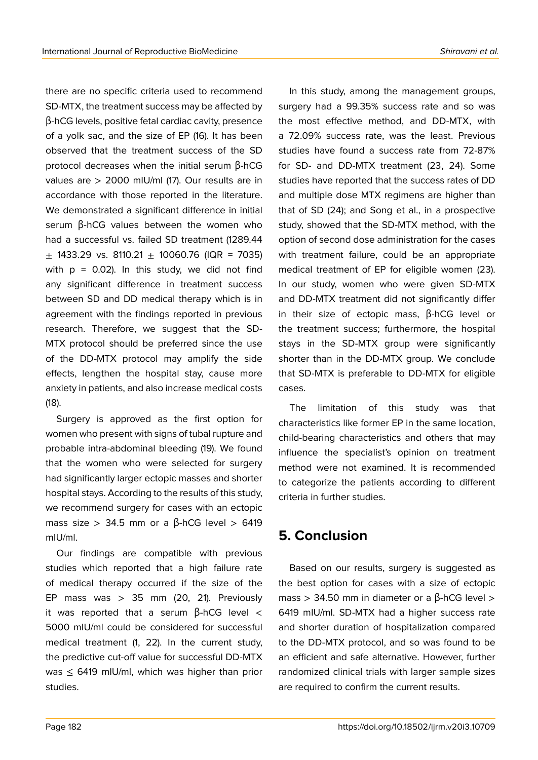there are no specific criteria used to recommend SD-MTX, the treatment success may be affected by β-hCG levels, positive fetal cardiac cavity, presence of a yolk sac, and the size of EP (16). It has been observed that the treatment success of the SD protocol decreases when the initial serum β-hCG values are > 2000 mIU/ml (17). Our results are in accordance with those reported in the literature. We demonstrated a significant difference in initial serum β-hCG values between the women who had a successful vs. failed SD treatment (1289.44  $\pm$  1433.29 vs. 8110.21  $\pm$  10060.76 (IQR = 7035) with  $p = 0.02$ ). In this study, we did not find any significant difference in treatment success between SD and DD medical therapy which is in agreement with the findings reported in previous research. Therefore, we suggest that the SD-MTX protocol should be preferred since the use of the DD-MTX protocol may amplify the side effects, lengthen the hospital stay, cause more anxiety in patients, and also increase medical costs (18).

Surgery is approved as the first option for women who present with signs of tubal rupture and probable intra-abdominal bleeding (19). We found that the women who were selected for surgery had significantly larger ectopic masses and shorter hospital stays. According to the results of this study, we recommend surgery for cases with an ectopic mass size > 34.5 mm or a  $\beta$ -hCG level > 6419 mIU/ml.

Our findings are compatible with previous studies which reported that a high failure rate of medical therapy occurred if the size of the EP mass was  $> 35$  mm (20, 21). Previously it was reported that a serum  $\beta$ -hCG level  $\lt$ 5000 mIU/ml could be considered for successful medical treatment (1, 22). In the current study, the predictive cut-off value for successful DD-MTX was  $\leq$  6419 mIU/ml, which was higher than prior studies.

In this study, among the management groups, surgery had a 99.35% success rate and so was the most effective method, and DD-MTX, with a 72.09% success rate, was the least. Previous studies have found a success rate from 72-87% for SD- and DD-MTX treatment (23, 24). Some studies have reported that the success rates of DD and multiple dose MTX regimens are higher than that of SD (24); and Song et al., in a prospective study, showed that the SD-MTX method, with the option of second dose administration for the cases with treatment failure, could be an appropriate medical treatment of EP for eligible women (23). In our study, women who were given SD-MTX and DD-MTX treatment did not significantly differ in their size of ectopic mass, β-hCG level or the treatment success; furthermore, the hospital stays in the SD-MTX group were significantly shorter than in the DD-MTX group. We conclude

The limitation of this study was that characteristics like former EP in the same location, child-bearing characteristics and others that may influence the specialist's opinion on treatment method were not examined. It is recommended to categorize the patients according to different criteria in further studies.

that SD-MTX is preferable to DD-MTX for eligible

# **5. Conclusion**

cases.

Based on our results, surgery is suggested as the best option for cases with a size of ectopic mass > 34.50 mm in diameter or a β-hCG level > 6419 mIU/ml. SD-MTX had a higher success rate and shorter duration of hospitalization compared to the DD-MTX protocol, and so was found to be an efficient and safe alternative. However, further randomized clinical trials with larger sample sizes are required to confirm the current results.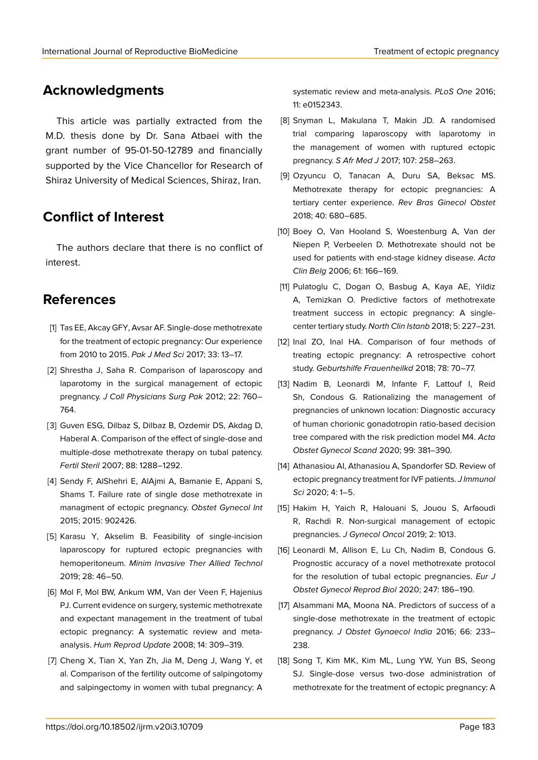# **Acknowledgments**

This article was partially extracted from the M.D. thesis done by Dr. Sana Atbaei with the grant number of 95-01-50-12789 and financially supported by the Vice Chancellor for Research of Shiraz University of Medical Sciences, Shiraz, Iran.

# **Conflict of Interest**

The authors declare that there is no conflict of interest.

# **References**

- [1] Tas EE, Akcay GFY, Avsar AF. Single-dose methotrexate for the treatment of ectopic pregnancy: Our experience from 2010 to 2015. *Pak J Med Sci* 2017; 33: 13–17.
- [2] Shrestha J, Saha R. Comparison of laparoscopy and laparotomy in the surgical management of ectopic pregnancy. *J Coll Physicians Surg Pak* 2012; 22: 760– 764.
- [3] Guven ESG, Dilbaz S, Dilbaz B, Ozdemir DS, Akdag D, Haberal A. Comparison of the effect of single-dose and multiple-dose methotrexate therapy on tubal patency. *Fertil Steril* 2007; 88: 1288–1292.
- [4] Sendy F, AlShehri E, AlAjmi A, Bamanie E, Appani S, Shams T. Failure rate of single dose methotrexate in managment of ectopic pregnancy. *Obstet Gynecol Int* 2015; 2015: 902426.
- [5] Karasu Y, Akselim B. Feasibility of single-incision laparoscopy for ruptured ectopic pregnancies with hemoperitoneum. *Minim Invasive Ther Allied Technol* 2019; 28: 46–50.
- [6] Mol F, Mol BW, Ankum WM, Van der Veen F, Hajenius PJ. Current evidence on surgery, systemic methotrexate and expectant management in the treatment of tubal ectopic pregnancy: A systematic review and metaanalysis. *Hum Reprod Update* 2008; 14: 309–319.
- [7] Cheng X, Tian X, Yan Zh, Jia M, Deng J, Wang Y, et al. Comparison of the fertility outcome of salpingotomy and salpingectomy in women with tubal pregnancy: A

systematic review and meta-analysis. *PLoS One* 2016; 11: e0152343.

- [8] Snyman L, Makulana T, Makin JD. A randomised trial comparing laparoscopy with laparotomy in the management of women with ruptured ectopic pregnancy. *S Afr Med J* 2017; 107: 258–263.
- [9] Ozyuncu O, Tanacan A, Duru SA, Beksac MS. Methotrexate therapy for ectopic pregnancies: A tertiary center experience. *Rev Bras Ginecol Obstet* 2018; 40: 680–685.
- [10] Boey O, Van Hooland S, Woestenburg A, Van der Niepen P, Verbeelen D. Methotrexate should not be used for patients with end-stage kidney disease. *Acta Clin Belg* 2006; 61: 166–169.
- [11] Pulatoglu C, Dogan O, Basbug A, Kaya AE, Yildiz A, Temizkan O. Predictive factors of methotrexate treatment success in ectopic pregnancy: A singlecenter tertiary study. *North Clin Istanb* 2018; 5: 227–231.
- [12] Inal ZO, Inal HA. Comparison of four methods of treating ectopic pregnancy: A retrospective cohort study. *Geburtshilfe Frauenheilkd* 2018; 78: 70–77.
- [13] Nadim B, Leonardi M, Infante F, Lattouf I, Reid Sh, Condous G. Rationalizing the management of pregnancies of unknown location: Diagnostic accuracy of human chorionic gonadotropin ratio-based decision tree compared with the risk prediction model M4. *Acta Obstet Gynecol Scand* 2020; 99: 381–390.
- [14] Athanasiou AI, Athanasiou A, Spandorfer SD. Review of ectopic pregnancy treatment for IVF patients. *J Immunol Sci* 2020; 4: 1–5.
- [15] Hakim H, Yaich R, Halouani S, Jouou S, Arfaoudi R, Rachdi R. Non-surgical management of ectopic pregnancies. *J Gynecol Oncol* 2019; 2: 1013.
- [16] Leonardi M, Allison E, Lu Ch, Nadim B, Condous G. Prognostic accuracy of a novel methotrexate protocol for the resolution of tubal ectopic pregnancies. *Eur J Obstet Gynecol Reprod Biol* 2020; 247: 186–190.
- [17] Alsammani MA, Moona NA. Predictors of success of a single-dose methotrexate in the treatment of ectopic pregnancy. *J Obstet Gynaecol India* 2016; 66: 233– 238.
- [18] Song T, Kim MK, Kim ML, Lung YW, Yun BS, Seong SJ. Single-dose versus two-dose administration of methotrexate for the treatment of ectopic pregnancy: A